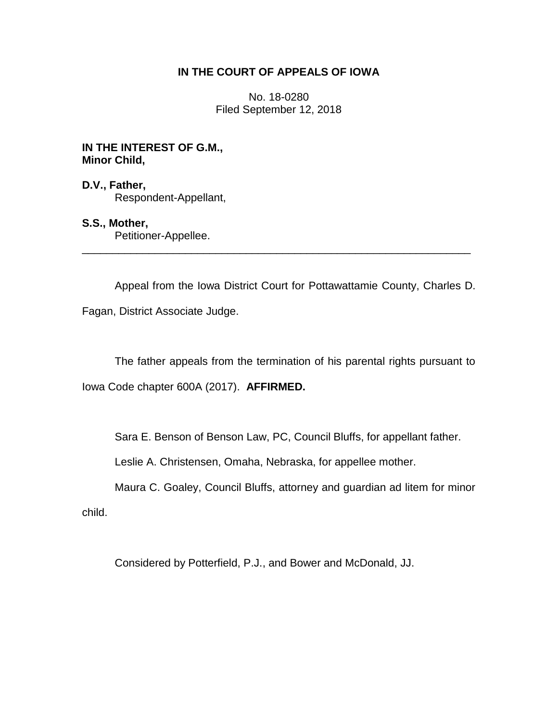## **IN THE COURT OF APPEALS OF IOWA**

No. 18-0280 Filed September 12, 2018

## **IN THE INTEREST OF G.M., Minor Child,**

## **D.V., Father,** Respondent-Appellant,

# **S.S., Mother,**

Petitioner-Appellee.

Appeal from the Iowa District Court for Pottawattamie County, Charles D.

\_\_\_\_\_\_\_\_\_\_\_\_\_\_\_\_\_\_\_\_\_\_\_\_\_\_\_\_\_\_\_\_\_\_\_\_\_\_\_\_\_\_\_\_\_\_\_\_\_\_\_\_\_\_\_\_\_\_\_\_\_\_\_\_

Fagan, District Associate Judge.

The father appeals from the termination of his parental rights pursuant to

Iowa Code chapter 600A (2017). **AFFIRMED.**

Sara E. Benson of Benson Law, PC, Council Bluffs, for appellant father.

Leslie A. Christensen, Omaha, Nebraska, for appellee mother.

Maura C. Goaley, Council Bluffs, attorney and guardian ad litem for minor child.

Considered by Potterfield, P.J., and Bower and McDonald, JJ.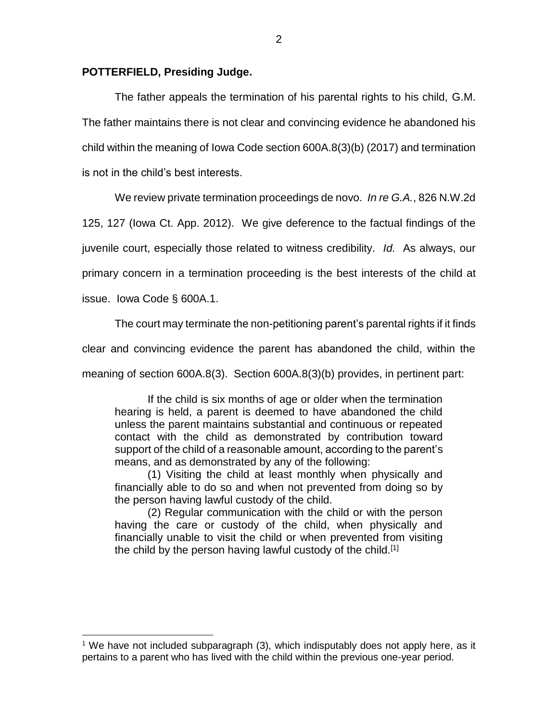#### **POTTERFIELD, Presiding Judge.**

The father appeals the termination of his parental rights to his child, G.M. The father maintains there is not clear and convincing evidence he abandoned his child within the meaning of Iowa Code section 600A.8(3)(b) (2017) and termination is not in the child's best interests.

We review private termination proceedings de novo. *In re G.A.*, 826 N.W.2d

125, 127 (Iowa Ct. App. 2012). We give deference to the factual findings of the juvenile court, especially those related to witness credibility. *Id.* As always, our

primary concern in a termination proceeding is the best interests of the child at

issue. Iowa Code § 600A.1.

 $\overline{a}$ 

The court may terminate the non-petitioning parent's parental rights if it finds

clear and convincing evidence the parent has abandoned the child, within the

meaning of section 600A.8(3). Section 600A.8(3)(b) provides, in pertinent part:

If the child is six months of age or older when the termination hearing is held, a parent is deemed to have abandoned the child unless the parent maintains substantial and continuous or repeated contact with the child as demonstrated by contribution toward support of the child of a reasonable amount, according to the parent's means, and as demonstrated by any of the following:

(1) Visiting the child at least monthly when physically and financially able to do so and when not prevented from doing so by the person having lawful custody of the child.

(2) Regular communication with the child or with the person having the care or custody of the child, when physically and financially unable to visit the child or when prevented from visiting the child by the person having lawful custody of the child.<sup>[1]</sup>

 $1$  We have not included subparagraph (3), which indisputably does not apply here, as it pertains to a parent who has lived with the child within the previous one-year period.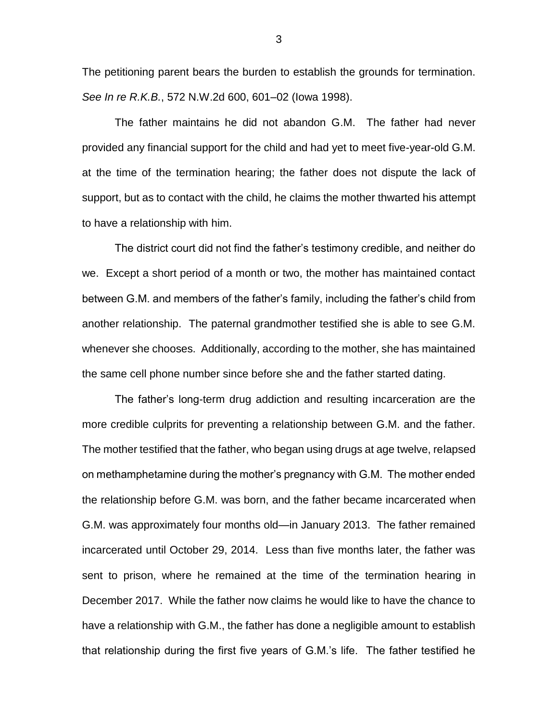The petitioning parent bears the burden to establish the grounds for termination. *See In re R.K.B.*, 572 N.W.2d 600, 601–02 (Iowa 1998).

The father maintains he did not abandon G.M. The father had never provided any financial support for the child and had yet to meet five-year-old G.M. at the time of the termination hearing; the father does not dispute the lack of support, but as to contact with the child, he claims the mother thwarted his attempt to have a relationship with him.

The district court did not find the father's testimony credible, and neither do we. Except a short period of a month or two, the mother has maintained contact between G.M. and members of the father's family, including the father's child from another relationship. The paternal grandmother testified she is able to see G.M. whenever she chooses. Additionally, according to the mother, she has maintained the same cell phone number since before she and the father started dating.

The father's long-term drug addiction and resulting incarceration are the more credible culprits for preventing a relationship between G.M. and the father. The mother testified that the father, who began using drugs at age twelve, relapsed on methamphetamine during the mother's pregnancy with G.M. The mother ended the relationship before G.M. was born, and the father became incarcerated when G.M. was approximately four months old—in January 2013. The father remained incarcerated until October 29, 2014. Less than five months later, the father was sent to prison, where he remained at the time of the termination hearing in December 2017. While the father now claims he would like to have the chance to have a relationship with G.M., the father has done a negligible amount to establish that relationship during the first five years of G.M.'s life. The father testified he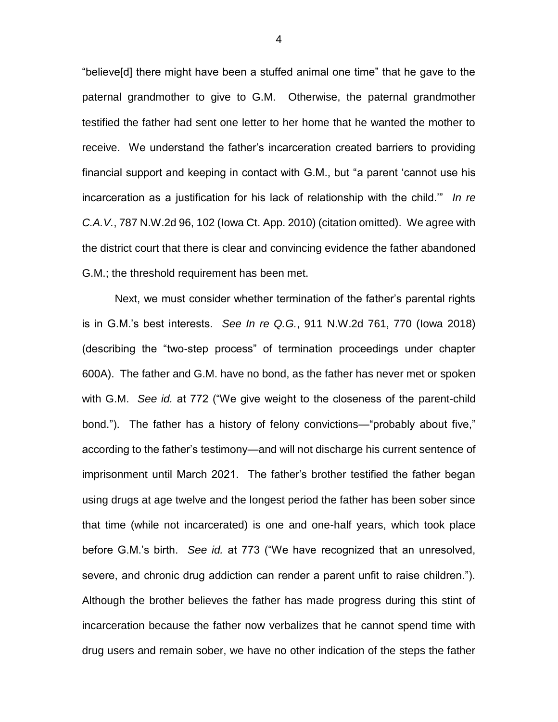"believe[d] there might have been a stuffed animal one time" that he gave to the paternal grandmother to give to G.M. Otherwise, the paternal grandmother testified the father had sent one letter to her home that he wanted the mother to receive. We understand the father's incarceration created barriers to providing financial support and keeping in contact with G.M., but "a parent 'cannot use his incarceration as a justification for his lack of relationship with the child.'" *In re C.A.V.*, 787 N.W.2d 96, 102 (Iowa Ct. App. 2010) (citation omitted). We agree with the district court that there is clear and convincing evidence the father abandoned G.M.; the threshold requirement has been met.

Next, we must consider whether termination of the father's parental rights is in G.M.'s best interests. *See In re Q.G.*, 911 N.W.2d 761, 770 (Iowa 2018) (describing the "two-step process" of termination proceedings under chapter 600A). The father and G.M. have no bond, as the father has never met or spoken with G.M. *See id.* at 772 ("We give weight to the closeness of the parent-child bond."). The father has a history of felony convictions—"probably about five," according to the father's testimony—and will not discharge his current sentence of imprisonment until March 2021. The father's brother testified the father began using drugs at age twelve and the longest period the father has been sober since that time (while not incarcerated) is one and one-half years, which took place before G.M.'s birth. *See id.* at 773 ("We have recognized that an unresolved, severe, and chronic drug addiction can render a parent unfit to raise children."). Although the brother believes the father has made progress during this stint of incarceration because the father now verbalizes that he cannot spend time with drug users and remain sober, we have no other indication of the steps the father

4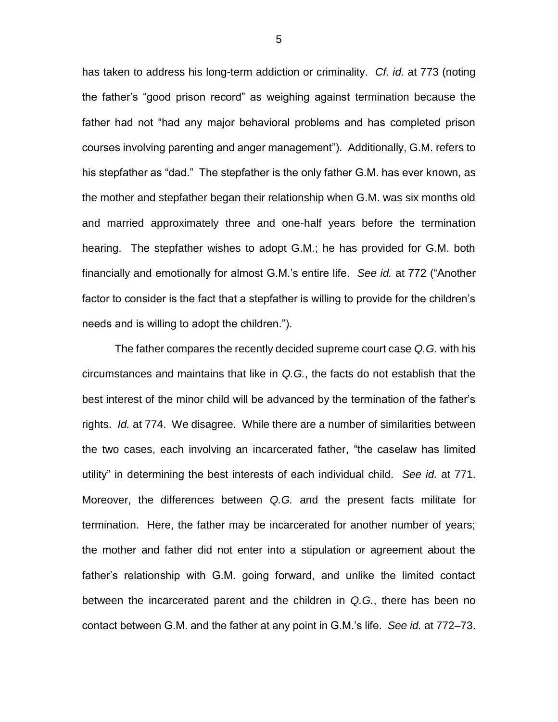has taken to address his long-term addiction or criminality. *Cf. id.* at 773 (noting the father's "good prison record" as weighing against termination because the father had not "had any major behavioral problems and has completed prison courses involving parenting and anger management"). Additionally, G.M. refers to his stepfather as "dad." The stepfather is the only father G.M. has ever known, as the mother and stepfather began their relationship when G.M. was six months old and married approximately three and one-half years before the termination hearing. The stepfather wishes to adopt G.M.; he has provided for G.M. both financially and emotionally for almost G.M.'s entire life. *See id.* at 772 ("Another factor to consider is the fact that a stepfather is willing to provide for the children's needs and is willing to adopt the children.").

The father compares the recently decided supreme court case *Q.G.* with his circumstances and maintains that like in *Q.G.*, the facts do not establish that the best interest of the minor child will be advanced by the termination of the father's rights. *Id.* at 774. We disagree. While there are a number of similarities between the two cases, each involving an incarcerated father, "the caselaw has limited utility" in determining the best interests of each individual child. *See id.* at 771. Moreover, the differences between *Q.G.* and the present facts militate for termination. Here, the father may be incarcerated for another number of years; the mother and father did not enter into a stipulation or agreement about the father's relationship with G.M. going forward, and unlike the limited contact between the incarcerated parent and the children in *Q.G.*, there has been no contact between G.M. and the father at any point in G.M.'s life. *See id.* at 772–73.

5